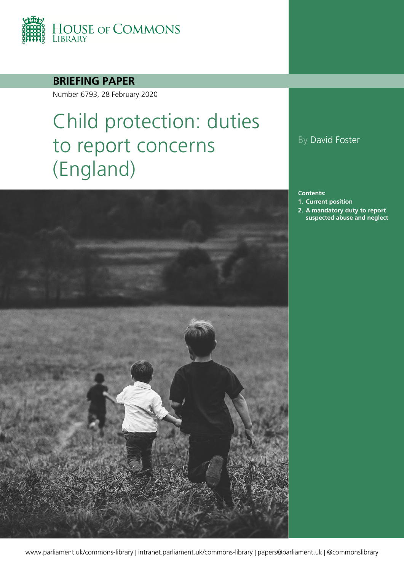

### **BRIEFING PAPER**

Number 6793, 28 February 2020

# Child protection: duties to report concerns (England)



By David Foster

**Contents:**

- **1. [Current position](#page-4-0)**
- **2. [A mandatory duty to report](#page-7-0)  [suspected abuse and neglect](#page-7-0)**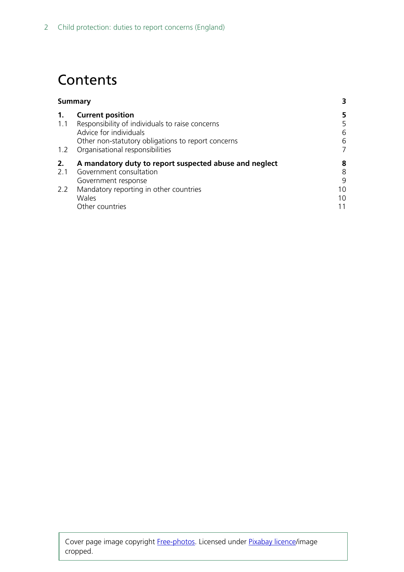### **Contents**

| <b>Summary</b> |                                                        | 3  |
|----------------|--------------------------------------------------------|----|
| 1.             | <b>Current position</b>                                | 5  |
| 1.1            | Responsibility of individuals to raise concerns        | 5  |
|                | Advice for individuals                                 | 6  |
|                | Other non-statutory obligations to report concerns     | 6  |
|                | 1.2 Organisational responsibilities                    | 7  |
| 2.             | A mandatory duty to report suspected abuse and neglect | 8  |
| 2.1            | Government consultation                                | 8  |
|                | Government response                                    | 9  |
| 2.2            | Mandatory reporting in other countries                 | 10 |
|                | Wales                                                  | 10 |
|                | Other countries                                        | 11 |
|                |                                                        |    |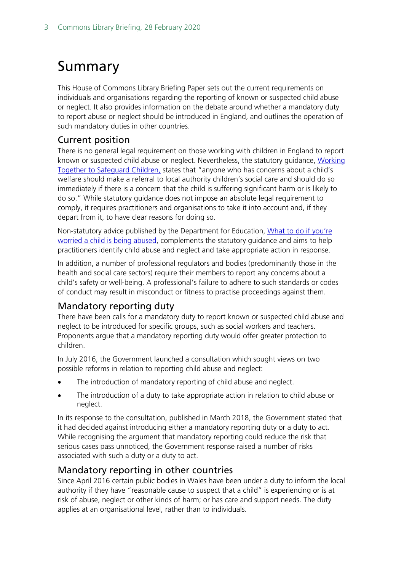## <span id="page-2-0"></span>Summary

This House of Commons Library Briefing Paper sets out the current requirements on individuals and organisations regarding the reporting of known or suspected child abuse or neglect. It also provides information on the debate around whether a mandatory duty to report abuse or neglect should be introduced in England, and outlines the operation of such mandatory duties in other countries.

### Current position

There is no general legal requirement on those working with children in England to report known or suspected child abuse or neglect. Nevertheless, the statutory guidance, [Working](https://assets.publishing.service.gov.uk/government/uploads/system/uploads/attachment_data/file/729914/Working_Together_to_Safeguard_Children-2018.pdf)  [Together to Safeguard Children,](https://assets.publishing.service.gov.uk/government/uploads/system/uploads/attachment_data/file/729914/Working_Together_to_Safeguard_Children-2018.pdf) states that "anyone who has concerns about a child's welfare should make a referral to local authority children's social care and should do so immediately if there is a concern that the child is suffering significant harm or is likely to do so." While statutory guidance does not impose an absolute legal requirement to comply, it requires practitioners and organisations to take it into account and, if they depart from it, to have clear reasons for doing so.

Non-statutory advice published by the Department for Education, [What to do if you're](https://www.gov.uk/government/publications/what-to-do-if-youre-worried-a-child-is-being-abused--2)  [worried a child is being abused,](https://www.gov.uk/government/publications/what-to-do-if-youre-worried-a-child-is-being-abused--2) complements the statutory guidance and aims to help practitioners identify child abuse and neglect and take appropriate action in response.

In addition, a number of professional regulators and bodies (predominantly those in the health and social care sectors) require their members to report any concerns about a child's safety or well-being. A professional's failure to adhere to such standards or codes of conduct may result in misconduct or fitness to practise proceedings against them.

### Mandatory reporting duty

There have been calls for a mandatory duty to report known or suspected child abuse and neglect to be introduced for specific groups, such as social workers and teachers. Proponents argue that a mandatory reporting duty would offer greater protection to children.

In July 2016, the Government launched a consultation which sought views on two possible reforms in relation to reporting child abuse and neglect:

- The introduction of mandatory reporting of child abuse and neglect.
- The introduction of a duty to take appropriate action in relation to child abuse or neglect.

In its response to the consultation, published in March 2018, the Government stated that it had decided against introducing either a mandatory reporting duty or a duty to act. While recognising the argument that mandatory reporting could reduce the risk that serious cases pass unnoticed, the Government response raised a number of risks associated with such a duty or a duty to act.

### Mandatory reporting in other countries

Since April 2016 certain public bodies in Wales have been under a duty to inform the local authority if they have "reasonable cause to suspect that a child" is experiencing or is at risk of abuse, neglect or other kinds of harm; or has care and support needs. The duty applies at an organisational level, rather than to individuals.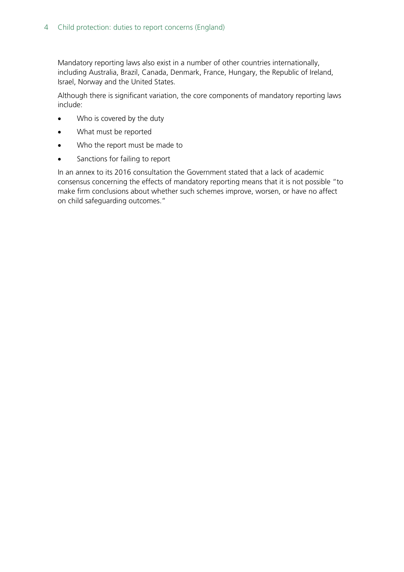Mandatory reporting laws also exist in a number of other countries internationally, including Australia, Brazil, Canada, Denmark, France, Hungary, the Republic of Ireland, Israel, Norway and the United States.

Although there is significant variation, the core components of mandatory reporting laws include:

- Who is covered by the duty
- What must be reported
- Who the report must be made to
- Sanctions for failing to report

In an annex to its 2016 consultation the Government stated that a lack of academic consensus concerning the effects of mandatory reporting means that it is not possible "to make firm conclusions about whether such schemes improve, worsen, or have no affect on child safeguarding outcomes."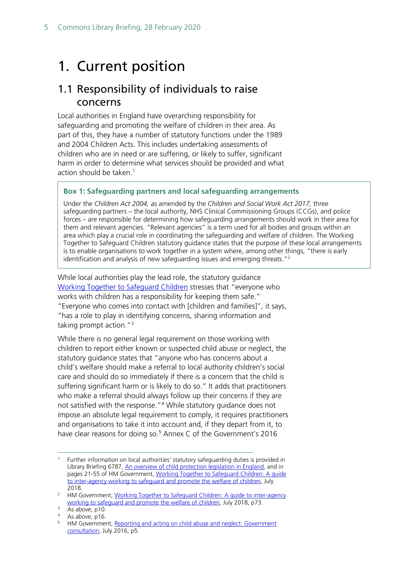### <span id="page-4-0"></span>1. Current position

### <span id="page-4-1"></span>1.1 Responsibility of individuals to raise concerns

Local authorities in England have overarching responsibility for safeguarding and promoting the welfare of children in their area. As part of this, they have a number of statutory functions under the 1989 and 2004 Children Acts. This includes undertaking assessments of children who are in need or are suffering, or likely to suffer, significant harm in order to determine what services should be provided and what action should be taken.<sup>[1](#page-4-2)</sup>

#### **Box 1: Safeguarding partners and local safeguarding arrangements**

Under the *Children Act 2004,* as amended by the *Children and Social Work Act 2017,* three safeguarding partners – the local authority, NHS Clinical Commissioning Groups (CCGs), and police forces – are responsible for determining how safeguarding arrangements should work in their area for them and relevant agencies. "Relevant agencies" is a term used for all bodies and groups within an area which play a crucial role in coordinating the safeguarding and welfare of children. The Working Together to Safeguard Children statutory guidance states that the purpose of these local arrangements is to enable organisations to work together in a system where, among other things, "there is early identification and analysis of new safeguarding issues and emerging threats."<sup>[2](#page-4-3)</sup>

While local authorities play the lead role, the statutory guidance [Working Together to Safeguard Children](https://assets.publishing.service.gov.uk/government/uploads/system/uploads/attachment_data/file/729914/Working_Together_to_Safeguard_Children-2018.pdf) stresses that "everyone who works with children has a responsibility for keeping them safe." "Everyone who comes into contact with [children and families]", it says, "has a role to play in identifying concerns, sharing information and taking prompt action."<sup>[3](#page-4-4)</sup>

While there is no general legal requirement on those working with children to report either known or suspected child abuse or neglect, the statutory guidance states that "anyone who has concerns about a child's welfare should make a referral to local authority children's social care and should do so immediately if there is a concern that the child is suffering significant harm or is likely to do so." It adds that practitioners who make a referral should always follow up their concerns if they are not satisfied with the response."<sup>[4](#page-4-5)</sup> While statutory quidance does not impose an absolute legal requirement to comply, it requires practitioners and organisations to take it into account and, if they depart from it, to have clear reasons for doing so.<sup>[5](#page-4-6)</sup> Annex C of the Government's 2016

<span id="page-4-2"></span><sup>1</sup> Further information on local authorities' statutory safeguarding duties is provided in Library Briefing 6787, [An overview of child protection legislation in England,](http://researchbriefings.parliament.uk/ResearchBriefing/Summary/SN06787#fullreport) and in pages 21-55 of HM Government, [Working Together to Safeguard Children: A guide](https://assets.publishing.service.gov.uk/government/uploads/system/uploads/attachment_data/file/729914/Working_Together_to_Safeguard_Children-2018.pdf)  [to inter-agency working to safeguard and promote the welfare of children,](https://assets.publishing.service.gov.uk/government/uploads/system/uploads/attachment_data/file/729914/Working_Together_to_Safeguard_Children-2018.pdf) July 2018.

<span id="page-4-3"></span><sup>&</sup>lt;sup>2</sup> HM Government, Working Together to Safeguard Children: A guide to inter-agency [working to safeguard and promote the welfare of children,](https://assets.publishing.service.gov.uk/government/uploads/system/uploads/attachment_data/file/779401/Working_Together_to_Safeguard-Children.pdf) July 2018, p73.

<span id="page-4-4"></span> $\overline{3}$  As above, p10.

<span id="page-4-5"></span><sup>4</sup> As above, p16.

<span id="page-4-6"></span><sup>&</sup>lt;sup>5</sup> HM Government, Reporting and acting on child abuse and neglect: Government [consultation,](https://assets.publishing.service.gov.uk/government/uploads/system/uploads/attachment_data/file/539641/Reporting_and_acting_on_child_abuse_and_neglect_-_consultation_document__print_.pdf) July 2016, p5.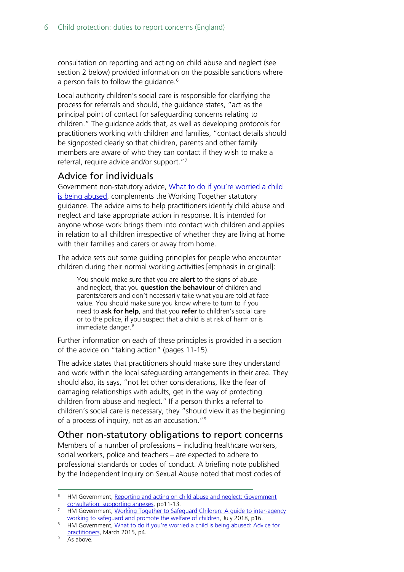consultation on reporting and acting on child abuse and neglect (see section 2 below) provided information on the possible sanctions where a person fails to follow the quidance.<sup>[6](#page-5-2)</sup>

Local authority children's social care is responsible for clarifying the process for referrals and should, the guidance states, "act as the principal point of contact for safeguarding concerns relating to children." The guidance adds that, as well as developing protocols for practitioners working with children and families, "contact details should be signposted clearly so that children, parents and other family members are aware of who they can contact if they wish to make a referral, require advice and/or support."[7](#page-5-3)

### <span id="page-5-0"></span>Advice for individuals

Government non-statutory advice, What to do if you're worried a child [is being abused,](https://www.gov.uk/government/publications/what-to-do-if-youre-worried-a-child-is-being-abused--2) complements the Working Together statutory guidance. The advice aims to help practitioners identify child abuse and neglect and take appropriate action in response. It is intended for anyone whose work brings them into contact with children and applies in relation to all children irrespective of whether they are living at home with their families and carers or away from home.

The advice sets out some guiding principles for people who encounter children during their normal working activities [emphasis in original]:

You should make sure that you are **alert** to the signs of abuse and neglect, that you **question the behaviour** of children and parents/carers and don't necessarily take what you are told at face value. You should make sure you know where to turn to if you need to **ask for help**, and that you **refer** to children's social care or to the police, if you suspect that a child is at risk of harm or is immediate danger. [8](#page-5-4)

Further information on each of these principles is provided in a section of the advice on "taking action" (pages 11-15).

The advice states that practitioners should make sure they understand and work within the local safeguarding arrangements in their area. They should also, its says, "not let other considerations, like the fear of damaging relationships with adults, get in the way of protecting children from abuse and neglect." If a person thinks a referral to children's social care is necessary, they "should view it as the beginning of a process of inquiry, not as an accusation."[9](#page-5-5)

### <span id="page-5-1"></span>Other non-statutory obligations to report concerns

Members of a number of professions – including healthcare workers, social workers, police and teachers – are expected to adhere to professional standards or codes of conduct. A briefing note published by the Independent Inquiry on Sexual Abuse noted that most codes of

<span id="page-5-2"></span><sup>&</sup>lt;sup>6</sup> HM Government, Reporting and acting on child abuse and neglect: Government [consultation: supporting annexes,](https://assets.publishing.service.gov.uk/government/uploads/system/uploads/attachment_data/file/539615/Reporting_and_acting_on_child_abuse_and_neglect_-_annexes__web_.pdf) pp11-13.

<span id="page-5-3"></span><sup>&</sup>lt;sup>7</sup> HM Government, Working Together to Safeguard Children: A quide to inter-agency [working to safeguard and promote the welfare of children,](https://assets.publishing.service.gov.uk/government/uploads/system/uploads/attachment_data/file/779401/Working_Together_to_Safeguard-Children.pdf) July 2018, p16.

<span id="page-5-4"></span><sup>8</sup> HM Government, What to do if you're worried a child is being abused: Advice for [practitioners,](https://assets.publishing.service.gov.uk/government/uploads/system/uploads/attachment_data/file/419604/What_to_do_if_you_re_worried_a_child_is_being_abused.pdf) March 2015, p4.

<span id="page-5-5"></span><sup>&</sup>lt;sup>9</sup> As above.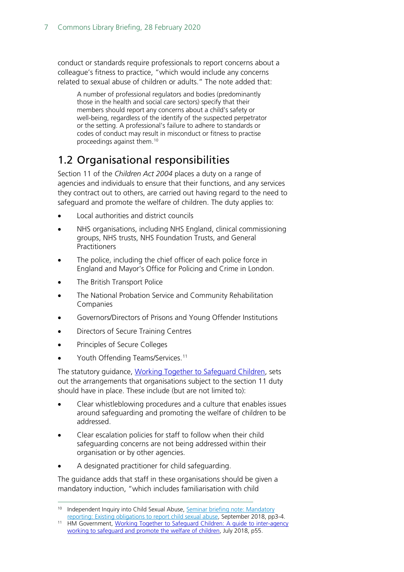conduct or standards require professionals to report concerns about a colleague's fitness to practice, "which would include any concerns related to sexual abuse of children or adults." The note added that:

A number of professional regulators and bodies (predominantly those in the health and social care sectors) specify that their members should report any concerns about a child's safety or well-being, regardless of the identify of the suspected perpetrator or the setting. A professional's failure to adhere to standards or codes of conduct may result in misconduct or fitness to practise proceedings against them.[10](#page-6-1)

### <span id="page-6-0"></span>1.2 Organisational responsibilities

Section 11 of the *Children Act 2004* places a duty on a range of agencies and individuals to ensure that their functions, and any services they contract out to others, are carried out having regard to the need to safeguard and promote the welfare of children. The duty applies to:

- Local authorities and district councils
- NHS organisations, including NHS England, clinical commissioning groups, NHS trusts, NHS Foundation Trusts, and General **Practitioners**
- The police, including the chief officer of each police force in England and Mayor's Office for Policing and Crime in London.
- The British Transport Police
- The National Probation Service and Community Rehabilitation Companies
- Governors/Directors of Prisons and Young Offender Institutions
- Directors of Secure Training Centres
- Principles of Secure Colleges
- Youth Offending Teams/Services.<sup>[11](#page-6-2)</sup>

The statutory guidance, [Working Together to Safeguard Children,](https://assets.publishing.service.gov.uk/government/uploads/system/uploads/attachment_data/file/779401/Working_Together_to_Safeguard-Children.pdf) sets out the arrangements that organisations subject to the section 11 duty should have in place. These include (but are not limited to):

- Clear whistleblowing procedures and a culture that enables issues around safeguarding and promoting the welfare of children to be addressed.
- Clear escalation policies for staff to follow when their child safeguarding concerns are not being addressed within their organisation or by other agencies.
- A designated practitioner for child safeguarding.

The guidance adds that staff in these organisations should be given a mandatory induction, "which includes familiarisation with child

<span id="page-6-1"></span><sup>&</sup>lt;sup>10</sup> Independent Inquiry into Child Sexual Abuse, Seminar briefing note: Mandatory [reporting: Existing obligations to report child sexual abuse,](https://www.iicsa.org.uk/key-documents/7025/view/mandatory-reporting-seminar-existing-obligations-reporting-child-sexual-abuse.-briefing-note.pdf) September 2018, pp3-4.

<span id="page-6-2"></span><sup>11</sup> HM Government, [Working Together to Safeguard Children: A guide to inter-agency](https://assets.publishing.service.gov.uk/government/uploads/system/uploads/attachment_data/file/779401/Working_Together_to_Safeguard-Children.pdf)  [working to safeguard and promote](https://assets.publishing.service.gov.uk/government/uploads/system/uploads/attachment_data/file/779401/Working_Together_to_Safeguard-Children.pdf) the welfare of children, July 2018, p55.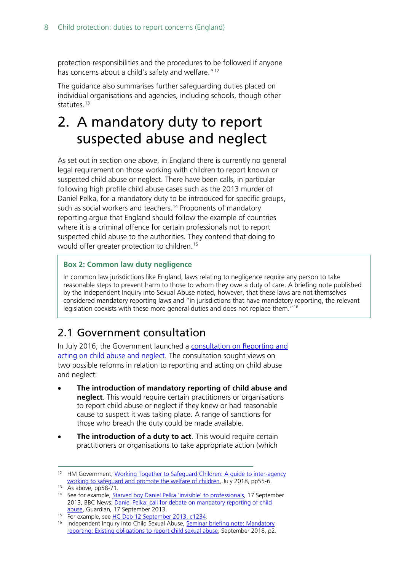protection responsibilities and the procedures to be followed if anyone has concerns about a child's safety and welfare."<sup>[12](#page-7-2)</sup>

The guidance also summarises further safeguarding duties placed on individual organisations and agencies, including schools, though other statutes $13$ 

### <span id="page-7-0"></span>2. A mandatory duty to report suspected abuse and neglect

As set out in section one above, in England there is currently no general legal requirement on those working with children to report known or suspected child abuse or neglect. There have been calls, in particular following high profile child abuse cases such as the 2013 murder of Daniel Pelka, for a mandatory duty to be introduced for specific groups, such as social workers and teachers. [14](#page-7-4) Proponents of mandatory reporting argue that England should follow the example of countries where it is a criminal offence for certain professionals not to report suspected child abuse to the authorities. They contend that doing to would offer greater protection to children.[15](#page-7-5)

### **Box 2: Common law duty negligence**

In common law jurisdictions like England, laws relating to negligence require any person to take reasonable steps to prevent harm to those to whom they owe a duty of care. A briefing note published by the Independent Inquiry into Sexual Abuse noted, however, that these laws are not themselves considered mandatory reporting laws and "in jurisdictions that have mandatory reporting, the relevant legislation coexists with these more general duties and does not replace them."<sup>[16](#page-7-6)</sup>

### <span id="page-7-1"></span>2.1 Government consultation

In July 2016, the Government launched a [consultation on Reporting and](https://assets.publishing.service.gov.uk/government/uploads/system/uploads/attachment_data/file/539641/Reporting_and_acting_on_child_abuse_and_neglect_-_consultation_document__print_.pdf)  [acting on child abuse and](https://assets.publishing.service.gov.uk/government/uploads/system/uploads/attachment_data/file/539641/Reporting_and_acting_on_child_abuse_and_neglect_-_consultation_document__print_.pdf) neglect. The consultation sought views on two possible reforms in relation to reporting and acting on child abuse and neglect:

- **The introduction of mandatory reporting of child abuse and neglect**. This would require certain practitioners or organisations to report child abuse or neglect if they knew or had reasonable cause to suspect it was taking place. A range of sanctions for those who breach the duty could be made available.
- **The introduction of a duty to act**. This would require certain practitioners or organisations to take appropriate action (which

<span id="page-7-2"></span><sup>&</sup>lt;sup>12</sup> HM Government, Working Together to Safeguard Children: A guide to inter-agency [working to safeguard and promote the welfare of children,](https://assets.publishing.service.gov.uk/government/uploads/system/uploads/attachment_data/file/779401/Working_Together_to_Safeguard-Children.pdf) July 2018, pp55-6.

<span id="page-7-3"></span> $13$  As above, pp58-71.

<span id="page-7-4"></span><sup>&</sup>lt;sup>14</sup> See for example, **Starved boy Daniel Pelka 'invisible' to professionals**, 17 September 2013, BBC News; [Daniel Pelka: call for debate on mandatory reporting of child](http://www.theguardian.com/society/2013/sep/17/daniel-pelka-mandatory-reporting-child-abuse)  [abuse,](http://www.theguardian.com/society/2013/sep/17/daniel-pelka-mandatory-reporting-child-abuse) Guardian, 17 September 2013.

<span id="page-7-6"></span><span id="page-7-5"></span><sup>&</sup>lt;sup>15</sup> For example, see [HC Deb 12 September 2013, c1234.](https://hansard.parliament.uk/commons/2013-09-12/debates/13091227000001/ChildProtection#contribution-13091227000206)

<sup>&</sup>lt;sup>16</sup> Independent Inquiry into Child Sexual Abuse, Seminar briefing note: Mandatory reporting: Existing [obligations to report child sexual abuse,](https://www.iicsa.org.uk/key-documents/7025/view/mandatory-reporting-seminar-existing-obligations-reporting-child-sexual-abuse.-briefing-note.pdf) September 2018, p2.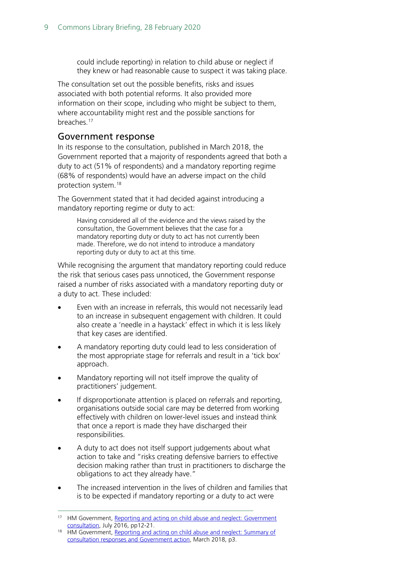could include reporting) in relation to child abuse or neglect if they knew or had reasonable cause to suspect it was taking place.

The consultation set out the possible benefits, risks and issues associated with both potential reforms. It also provided more information on their scope, including who might be subject to them, where accountability might rest and the possible sanctions for breaches.[17](#page-8-1)

### <span id="page-8-0"></span>Government response

In its response to the consultation, published in March 2018, the Government reported that a majority of respondents agreed that both a duty to act (51% of respondents) and a mandatory reporting regime (68% of respondents) would have an adverse impact on the child protection system.[18](#page-8-2)

The Government stated that it had decided against introducing a mandatory reporting regime or duty to act:

Having considered all of the evidence and the views raised by the consultation, the Government believes that the case for a mandatory reporting duty or duty to act has not currently been made. Therefore, we do not intend to introduce a mandatory reporting duty or duty to act at this time.

While recognising the argument that mandatory reporting could reduce the risk that serious cases pass unnoticed, the Government response raised a number of risks associated with a mandatory reporting duty or a duty to act. These included:

- Even with an increase in referrals, this would not necessarily lead to an increase in subsequent engagement with children. It could also create a 'needle in a haystack' effect in which it is less likely that key cases are identified.
- A mandatory reporting duty could lead to less consideration of the most appropriate stage for referrals and result in a 'tick box' approach.
- Mandatory reporting will not itself improve the quality of practitioners' judgement.
- If disproportionate attention is placed on referrals and reporting, organisations outside social care may be deterred from working effectively with children on lower-level issues and instead think that once a report is made they have discharged their responsibilities.
- A duty to act does not itself support judgements about what action to take and "risks creating defensive barriers to effective decision making rather than trust in practitioners to discharge the obligations to act they already have."
- The increased intervention in the lives of children and families that is to be expected if mandatory reporting or a duty to act were

<span id="page-8-1"></span><sup>&</sup>lt;sup>17</sup> HM Government, Reporting and acting on child abuse and neglect: Government [consultation,](https://assets.publishing.service.gov.uk/government/uploads/system/uploads/attachment_data/file/539641/Reporting_and_acting_on_child_abuse_and_neglect_-_consultation_document__print_.pdf) July 2016, pp12-21.

<span id="page-8-2"></span><sup>&</sup>lt;sup>18</sup> HM Government, Reporting and acting on child abuse and neglect: Summary of [consultation responses and Government action,](https://assets.publishing.service.gov.uk/government/uploads/system/uploads/attachment_data/file/685465/Reporting_and_acting_on_child_abuse_and_neglect_-_response_to_consultati....pdf) March 2018, p3.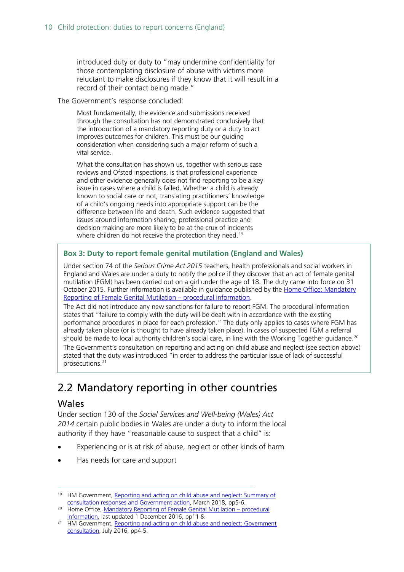introduced duty or duty to "may undermine confidentiality for those contemplating disclosure of abuse with victims more reluctant to make disclosures if they know that it will result in a record of their contact being made."

#### The Government's response concluded:

Most fundamentally, the evidence and submissions received through the consultation has not demonstrated conclusively that the introduction of a mandatory reporting duty or a duty to act improves outcomes for children. This must be our guiding consideration when considering such a major reform of such a vital service.

What the consultation has shown us, together with serious case reviews and Ofsted inspections, is that professional experience and other evidence generally does not find reporting to be a key issue in cases where a child is failed. Whether a child is already known to social care or not, translating practitioners' knowledge of a child's ongoing needs into appropriate support can be the difference between life and death. Such evidence suggested that issues around information sharing, professional practice and decision making are more likely to be at the crux of incidents where children do not receive the protection they need.<sup>[19](#page-9-2)</sup>

#### **Box 3: Duty to report female genital mutilation (England and Wales)**

Under section 74 of the *Serious Crime Act 2015* teachers, health professionals and social workers in England and Wales are under a duty to notify the police if they discover that an act of female genital mutilation (FGM) has been carried out on a girl under the age of 18. The duty came into force on 31 October 2015. Further information is available in guidance published by the [Home Office: Mandatory](https://assets.publishing.service.gov.uk/government/uploads/system/uploads/attachment_data/file/573782/FGM_Mandatory_Reporting_-_procedural_information_nov16_FINAL.pdf)  [Reporting of Female Genital Mutilation –](https://assets.publishing.service.gov.uk/government/uploads/system/uploads/attachment_data/file/573782/FGM_Mandatory_Reporting_-_procedural_information_nov16_FINAL.pdf) procedural information.

The Act did not introduce any new sanctions for failure to report FGM. The procedural information states that "failure to comply with the duty will be dealt with in accordance with the existing performance procedures in place for each profession." The duty only applies to cases where FGM has already taken place (or is thought to have already taken place). In cases of suspected FGM a referral should be made to local authority children's social care, in line with the Working Together guidance.<sup>[20](#page-9-3)</sup> The Government's consultation on reporting and acting on child abuse and neglect (see section above) stated that the duty was introduced "in order to address the particular issue of lack of successful prosecutions.[21](#page-9-4)

### <span id="page-9-0"></span>2.2 Mandatory reporting in other countries

### <span id="page-9-1"></span>Wales

Under section 130 of the *Social Services and Well-being (Wales) Act 2014* certain public bodies in Wales are under a duty to inform the local authority if they have "reasonable cause to suspect that a child" is:

- Experiencing or is at risk of abuse, neglect or other kinds of harm
- Has needs for care and support

<span id="page-9-2"></span><sup>&</sup>lt;sup>19</sup> HM Government, Reporting and acting on child abuse and neglect: Summary of [consultation responses and Government action,](https://assets.publishing.service.gov.uk/government/uploads/system/uploads/attachment_data/file/685465/Reporting_and_acting_on_child_abuse_and_neglect_-_response_to_consultati....pdf) March 2018, pp5-6.

<span id="page-9-3"></span><sup>&</sup>lt;sup>20</sup> Home Office[, Mandatory Reporting of Female Genital Mutilation –](https://www.gov.uk/government/publications/mandatory-reporting-of-female-genital-mutilation-procedural-information#history) procedural information, last updated 1 December 2016, pp11 &

<span id="page-9-4"></span><sup>&</sup>lt;sup>21</sup> HM Government, Reporting and acting on child abuse and neglect: Government [consultation,](https://assets.publishing.service.gov.uk/government/uploads/system/uploads/attachment_data/file/539641/Reporting_and_acting_on_child_abuse_and_neglect_-_consultation_document__print_.pdf) July 2016, pp4-5.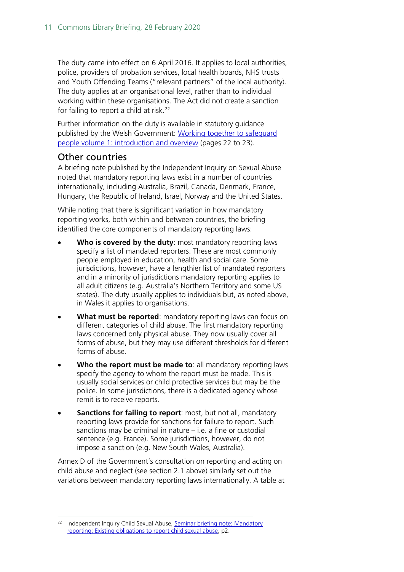The duty came into effect on 6 April 2016. It applies to local authorities, police, providers of probation services, local health boards, NHS trusts and Youth Offending Teams ("relevant partners" of the local authority). The duty applies at an organisational level, rather than to individual working within these organisations. The Act did not create a sanction for failing to report a child at risk.<sup>[22](#page-10-1)</sup>

Further information on the duty is available in statutory guidance published by the Welsh Government: [Working together to safeguard](https://gov.wales/safeguarding-people-introduction)  [people volume 1: introduction and overview](https://gov.wales/safeguarding-people-introduction) (pages 22 to 23).

### <span id="page-10-0"></span>Other countries

A briefing note published by the Independent Inquiry on Sexual Abuse noted that mandatory reporting laws exist in a number of countries internationally, including Australia, Brazil, Canada, Denmark, France, Hungary, the Republic of Ireland, Israel, Norway and the United States.

While noting that there is significant variation in how mandatory reporting works, both within and between countries, the briefing identified the core components of mandatory reporting laws:

- Who is covered by the duty: most mandatory reporting laws specify a list of mandated reporters. These are most commonly people employed in education, health and social care. Some jurisdictions, however, have a lengthier list of mandated reporters and in a minority of jurisdictions mandatory reporting applies to all adult citizens (e.g. Australia's Northern Territory and some US states). The duty usually applies to individuals but, as noted above, in Wales it applies to organisations.
- **What must be reported**: mandatory reporting laws can focus on different categories of child abuse. The first mandatory reporting laws concerned only physical abuse. They now usually cover all forms of abuse, but they may use different thresholds for different forms of abuse.
- **Who the report must be made to**: all mandatory reporting laws specify the agency to whom the report must be made. This is usually social services or child protective services but may be the police. In some jurisdictions, there is a dedicated agency whose remit is to receive reports.
- **Sanctions for failing to report**: most, but not all, mandatory reporting laws provide for sanctions for failure to report. Such sanctions may be criminal in nature – i.e. a fine or custodial sentence (e.g. France). Some jurisdictions, however, do not impose a sanction (e.g. New South Wales, Australia).

Annex D of the Government's consultation on reporting and acting on child abuse and neglect (see section 2.1 above) similarly set out the variations between mandatory reporting laws internationally. A table at

<span id="page-10-1"></span>Independent Inquiry Child Sexual Abuse, Seminar briefing note: Mandatory [reporting: Existing obligations to report child sexual abuse,](https://www.iicsa.org.uk/key-documents/7025/view/mandatory-reporting-seminar-existing-obligations-reporting-child-sexual-abuse.-briefing-note.pdf) p2.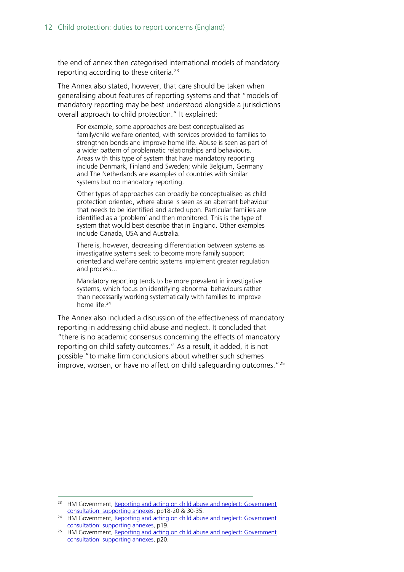the end of annex then categorised international models of mandatory reporting according to these criteria. $23$ 

The Annex also stated, however, that care should be taken when generalising about features of reporting systems and that "models of mandatory reporting may be best understood alongside a jurisdictions overall approach to child protection." It explained:

For example, some approaches are best conceptualised as family/child welfare oriented, with services provided to families to strengthen bonds and improve home life. Abuse is seen as part of a wider pattern of problematic relationships and behaviours. Areas with this type of system that have mandatory reporting include Denmark, Finland and Sweden; while Belgium, Germany and The Netherlands are examples of countries with similar systems but no mandatory reporting.

Other types of approaches can broadly be conceptualised as child protection oriented, where abuse is seen as an aberrant behaviour that needs to be identified and acted upon. Particular families are identified as a 'problem' and then monitored. This is the type of system that would best describe that in England. Other examples include Canada, USA and Australia.

There is, however, decreasing differentiation between systems as investigative systems seek to become more family support oriented and welfare centric systems implement greater regulation and process…

Mandatory reporting tends to be more prevalent in investigative systems, which focus on identifying abnormal behaviours rather than necessarily working systematically with families to improve home life.<sup>[24](#page-11-1)</sup>

The Annex also included a discussion of the effectiveness of mandatory reporting in addressing child abuse and neglect. It concluded that "there is no academic consensus concerning the effects of mandatory reporting on child safety outcomes." As a result, it added, it is not possible "to make firm conclusions about whether such schemes improve, worsen, or have no affect on child safeguarding outcomes."<sup>[25](#page-11-2)</sup>

<span id="page-11-0"></span><sup>&</sup>lt;sup>23</sup> HM Government, Reporting and acting on child abuse and neglect: Government [consultation: supporting annexes,](https://assets.publishing.service.gov.uk/government/uploads/system/uploads/attachment_data/file/539615/Reporting_and_acting_on_child_abuse_and_neglect_-_annexes__web_.pdf) pp18-20 & 30-35.

<span id="page-11-1"></span><sup>&</sup>lt;sup>24</sup> HM Government, [Reporting and acting on child abuse and neglect: Government](https://assets.publishing.service.gov.uk/government/uploads/system/uploads/attachment_data/file/539615/Reporting_and_acting_on_child_abuse_and_neglect_-_annexes__web_.pdf) consultation: supporting annexes, p19.

<span id="page-11-2"></span> $25$  HM Government, Reporting and acting on child abuse and neglect: Government [consultation: supporting annexes,](https://assets.publishing.service.gov.uk/government/uploads/system/uploads/attachment_data/file/539615/Reporting_and_acting_on_child_abuse_and_neglect_-_annexes__web_.pdf) p20.